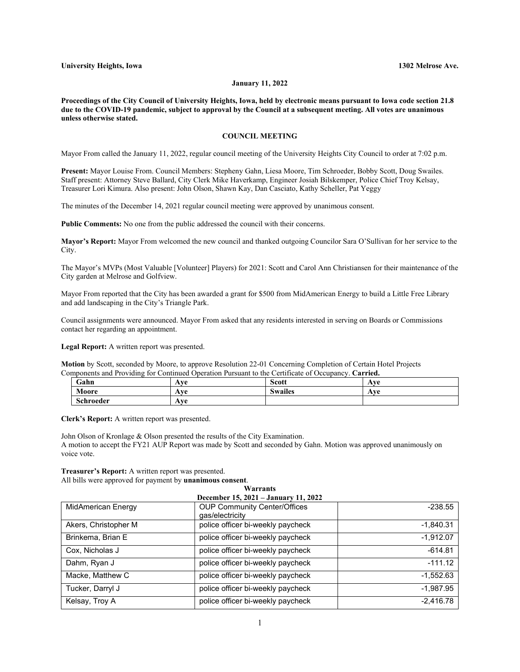## **January 11, 2022**

**Proceedings of the City Council of University Heights, Iowa, held by electronic means pursuant to Iowa code section 21.8 due to the COVID-19 pandemic, subject to approval by the Council at a subsequent meeting. All votes are unanimous unless otherwise stated.**

## **COUNCIL MEETING**

Mayor From called the January 11, 2022, regular council meeting of the University Heights City Council to order at 7:02 p.m.

**Present:** Mayor Louise From. Council Members: Stepheny Gahn, Liesa Moore, Tim Schroeder, Bobby Scott, Doug Swailes. Staff present: Attorney Steve Ballard, City Clerk Mike Haverkamp, Engineer Josiah Bilskemper, Police Chief Troy Kelsay, Treasurer Lori Kimura. Also present: John Olson, Shawn Kay, Dan Casciato, Kathy Scheller, Pat Yeggy

The minutes of the December 14, 2021 regular council meeting were approved by unanimous consent.

**Public Comments:** No one from the public addressed the council with their concerns.

**Mayor's Report:** Mayor From welcomed the new council and thanked outgoing Councilor Sara O'Sullivan for her service to the City.

The Mayor's MVPs (Most Valuable [Volunteer] Players) for 2021: Scott and Carol Ann Christiansen for their maintenance of the City garden at Melrose and Golfview.

Mayor From reported that the City has been awarded a grant for \$500 from MidAmerican Energy to build a Little Free Library and add landscaping in the City's Triangle Park.

Council assignments were announced. Mayor From asked that any residents interested in serving on Boards or Commissions contact her regarding an appointment.

**Legal Report:** A written report was presented.

**Motion** by Scott, seconded by Moore, to approve Resolution 22-01 Concerning Completion of Certain Hotel Projects Components and Providing for Continued Operation Pursuant to the Certificate of Occupancy. **Carried.**

| Gahn      | Ave | <b>Scott</b>   | Ave |
|-----------|-----|----------------|-----|
| Moore     | Ave | <b>Swailes</b> | Ave |
| Schroeder | Ave |                |     |

**Clerk's Report:** A written report was presented.

John Olson of Kronlage & Olson presented the results of the City Examination. A motion to accept the FY21 AUP Report was made by Scott and seconded by Gahn. Motion was approved unanimously on voice vote.

## **Treasurer's Report:** A written report was presented.

All bills were approved for payment by **unanimous consent**. **Warrants**

| December 15, 2021 – January 11, 2022 |                                                        |             |  |  |
|--------------------------------------|--------------------------------------------------------|-------------|--|--|
| <b>MidAmerican Energy</b>            | <b>OUP Community Center/Offices</b><br>qas/electricity | $-238.55$   |  |  |
| Akers, Christopher M                 | police officer bi-weekly paycheck                      | $-1,840.31$ |  |  |
| Brinkema, Brian E                    | police officer bi-weekly paycheck                      | $-1,912.07$ |  |  |
| Cox, Nicholas J                      | police officer bi-weekly paycheck                      | $-614.81$   |  |  |
| Dahm, Ryan J                         | police officer bi-weekly paycheck                      | $-111.12$   |  |  |
| Macke, Matthew C                     | police officer bi-weekly paycheck                      | $-1,552.63$ |  |  |
| Tucker, Darryl J                     | police officer bi-weekly paycheck                      | $-1,987.95$ |  |  |
| Kelsay, Troy A                       | police officer bi-weekly paycheck                      | $-2,416.78$ |  |  |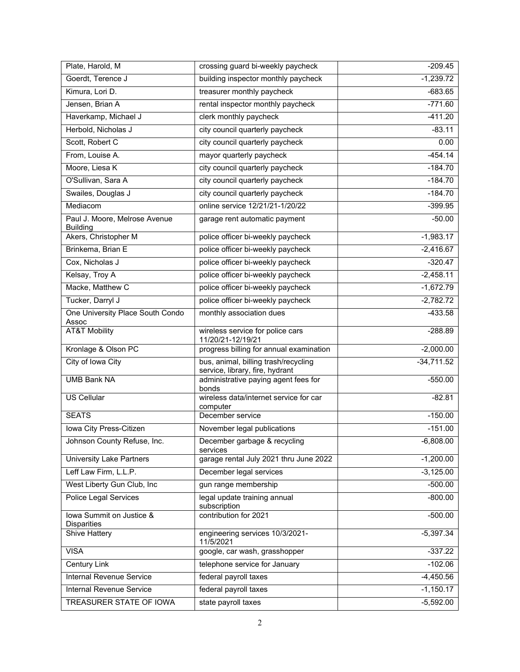| Plate, Harold, M                                 | crossing guard bi-weekly paycheck                                       | $-209.45$    |
|--------------------------------------------------|-------------------------------------------------------------------------|--------------|
| Goerdt, Terence J                                | building inspector monthly paycheck                                     | $-1,239.72$  |
| Kimura, Lori D.                                  | treasurer monthly paycheck                                              | $-683.65$    |
| Jensen, Brian A                                  | rental inspector monthly paycheck                                       | $-771.60$    |
| Haverkamp, Michael J                             | clerk monthly paycheck                                                  | $-411.20$    |
| Herbold, Nicholas J                              | city council quarterly paycheck                                         | $-83.11$     |
| Scott, Robert C                                  | city council quarterly paycheck                                         | 0.00         |
| From, Louise A.                                  | mayor quarterly paycheck                                                | $-454.14$    |
| Moore, Liesa K                                   | city council quarterly paycheck                                         | $-184.70$    |
| O'Sullivan, Sara A                               | city council quarterly paycheck                                         | $-184.70$    |
| Swailes, Douglas J                               | city council quarterly paycheck                                         | $-184.70$    |
| Mediacom                                         | online service 12/21/21-1/20/22                                         | $-399.95$    |
| Paul J. Moore, Melrose Avenue<br><b>Building</b> | garage rent automatic payment                                           | $-50.00$     |
| Akers, Christopher M                             | police officer bi-weekly paycheck                                       | $-1,983.17$  |
| Brinkema, Brian E                                | police officer bi-weekly paycheck                                       | $-2,416.67$  |
| Cox, Nicholas J                                  | police officer bi-weekly paycheck                                       | $-320.47$    |
| Kelsay, Troy A                                   | police officer bi-weekly paycheck                                       | $-2,458.11$  |
| Macke, Matthew C                                 | police officer bi-weekly paycheck                                       | $-1,672.79$  |
| Tucker, Darryl J                                 | police officer bi-weekly paycheck                                       | $-2,782.72$  |
| One University Place South Condo<br>Assoc        | monthly association dues                                                | $-433.58$    |
| <b>AT&amp;T Mobility</b>                         | wireless service for police cars<br>11/20/21-12/19/21                   | $-288.89$    |
| Kronlage & Olson PC                              | progress billing for annual examination                                 | $-2,000.00$  |
| City of Iowa City                                | bus, animal, billing trash/recycling<br>service, library, fire, hydrant | $-34,711.52$ |
| <b>UMB Bank NA</b>                               | administrative paying agent fees for<br>bonds                           | $-550.00$    |
| <b>US Cellular</b>                               | wireless data/internet service for car<br>computer                      | $-82.81$     |
| <b>SEATS</b>                                     | December service                                                        | $-150.00$    |
| Iowa City Press-Citizen                          | November legal publications                                             | $-151.00$    |
| Johnson County Refuse, Inc.                      | December garbage & recycling<br>services                                | $-6,808.00$  |
| <b>University Lake Partners</b>                  | garage rental July 2021 thru June 2022                                  | $-1,200.00$  |
| Leff Law Firm, L.L.P.                            | December legal services                                                 | $-3,125.00$  |
| West Liberty Gun Club, Inc                       | gun range membership                                                    | $-500.00$    |
| <b>Police Legal Services</b>                     | legal update training annual<br>subscription                            | $-800.00$    |
| lowa Summit on Justice &<br><b>Disparities</b>   | contribution for 2021                                                   | $-500.00$    |
| Shive Hattery                                    | engineering services 10/3/2021-<br>11/5/2021                            | $-5,397.34$  |
| <b>VISA</b>                                      | google, car wash, grasshopper                                           | $-337.22$    |
| Century Link                                     | telephone service for January                                           | $-102.06$    |
| <b>Internal Revenue Service</b>                  | federal payroll taxes                                                   | $-4,450.56$  |
| Internal Revenue Service                         | federal payroll taxes                                                   | $-1,150.17$  |
| TREASURER STATE OF IOWA                          | state payroll taxes                                                     | $-5,592.00$  |